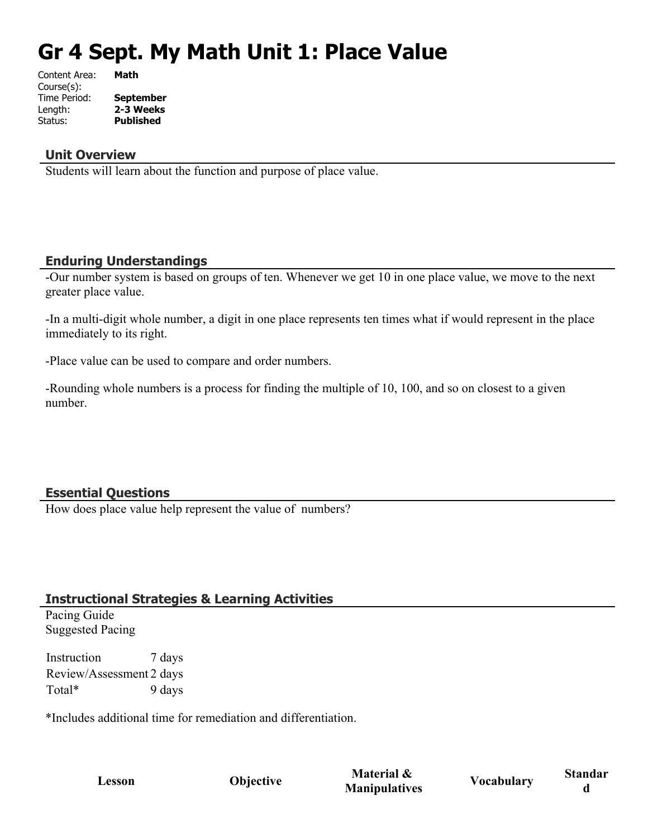# **Gr 4 Sept. My Math Unit 1: Place Value**

| Content Area: | Math             |
|---------------|------------------|
| Course(s):    |                  |
| Time Period:  | <b>September</b> |
| Length:       | 2-3 Weeks        |
| Status:       | <b>Published</b> |
|               |                  |

#### **Unit Overview**

Students will learn about the function and purpose of place value.

#### **Enduring Understandings**

-Our number system is based on groups of ten. Whenever we get 10 in one place value, we move to the next greater place value.

-In a multi-digit whole number, a digit in one place represents ten times what if would represent in the place immediately to its right.

-Place value can be used to compare and order numbers.

-Rounding whole numbers is a process for finding the multiple of 10, 100, and so on closest to a given number.

## **Essential Questions**

How does place value help represent the value of numbers?

## **Instructional Strategies & Learning Activities**

Pacing Guide Suggested Pacing

Instruction 7 days Review/Assessment 2 days Total\* 9 days

\*Includes additional time for remediation and differentiation.

**Lesson Objective Material & Material & Vocabulary Standar**<br>**Manipulatives Vocabulary d**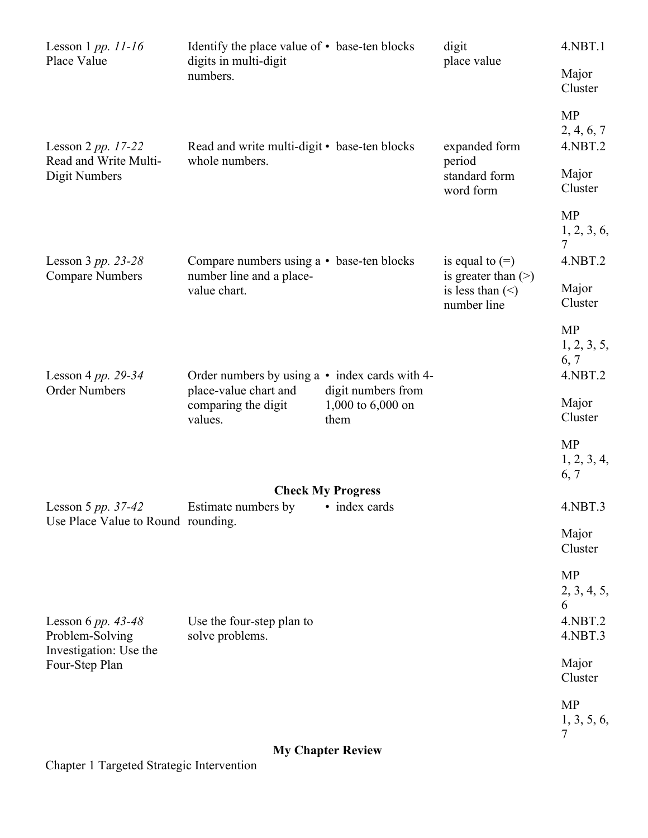| Lesson 1 pp. $11-16$<br>Place Value                              | Identify the place value of • base-ten blocks                         |                                                   | digit<br>place value                                  | 4.NBT.1                                             |
|------------------------------------------------------------------|-----------------------------------------------------------------------|---------------------------------------------------|-------------------------------------------------------|-----------------------------------------------------|
|                                                                  | digits in multi-digit<br>numbers.                                     |                                                   |                                                       | Major<br>Cluster                                    |
| Lesson $2 pp. 17-22$                                             | Read and write multi-digit • base-ten blocks<br>whole numbers.        |                                                   | expanded form<br>period<br>standard form<br>word form | <b>MP</b><br>2, 4, 6, 7<br>4.NBT.2                  |
| Read and Write Multi-<br>Digit Numbers                           |                                                                       |                                                   |                                                       | Major<br>Cluster                                    |
|                                                                  |                                                                       |                                                   |                                                       | <b>MP</b><br>1, 2, 3, 6,<br>7                       |
| Lesson 3 pp. 23-28<br><b>Compare Numbers</b>                     | Compare numbers using a • base-ten blocks<br>number line and a place- |                                                   | is equal to $(=)$<br>is greater than $(>)$            | 4.NBT.2                                             |
|                                                                  | value chart.                                                          |                                                   | is less than $(\le)$<br>number line                   | Major<br>Cluster                                    |
| Lesson 4 pp. $29-34$<br><b>Order Numbers</b>                     | Order numbers by using $a \cdot \text{index cards with } 4$ -         |                                                   |                                                       | <b>MP</b><br>1, 2, 3, 5,<br>6, 7<br>4.NBT.2         |
|                                                                  | place-value chart and<br>comparing the digit<br>values.               | digit numbers from<br>1,000 to $6,000$ on<br>them |                                                       | Major<br>Cluster                                    |
|                                                                  |                                                                       |                                                   |                                                       | <b>MP</b><br>1, 2, 3, 4,<br>6, 7                    |
| <b>Check My Progress</b><br>Estimate numbers by<br>• index cards |                                                                       |                                                   |                                                       |                                                     |
| Lesson 5 pp. 37-42<br>Use Place Value to Round rounding.         |                                                                       |                                                   |                                                       | $4.$ NBT $.3$<br>Major<br>Cluster                   |
| Lesson 6 pp. 43-48<br>Problem-Solving                            | Use the four-step plan to<br>solve problems.                          |                                                   |                                                       | <b>MP</b><br>2, 3, 4, 5,<br>6<br>4.NBT.2<br>4.NBT.3 |
| Investigation: Use the<br>Four-Step Plan                         |                                                                       |                                                   |                                                       | Major<br>Cluster                                    |
|                                                                  |                                                                       |                                                   |                                                       | <b>MP</b><br>1, 3, 5, 6,<br>7                       |

## **My Chapter Review**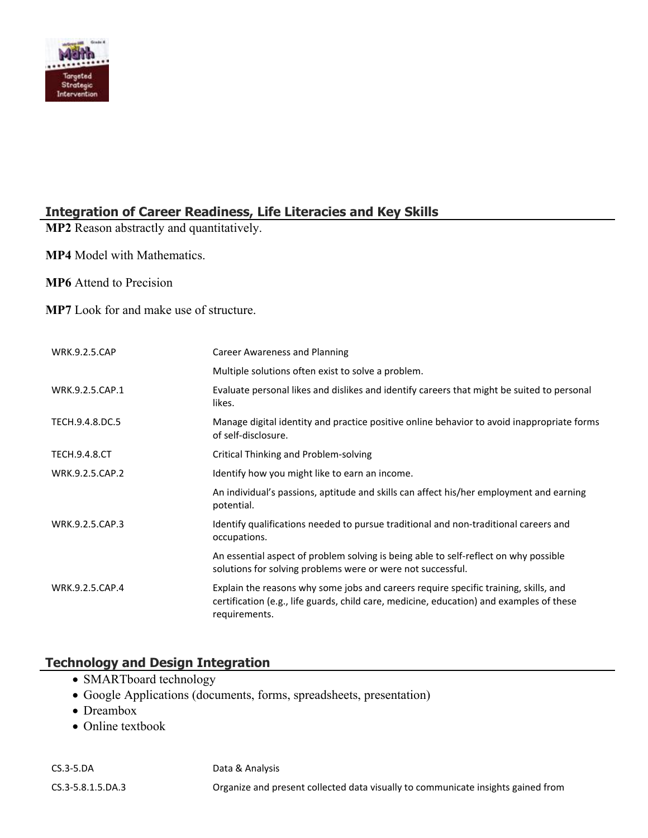

## **Integration of Career Readiness, Life Literacies and Key Skills**

**MP2** Reason abstractly and quantitatively.

**MP4** Model with Mathematics.

**MP6** Attend to Precision

**MP7** Look for and make use of structure.

| <b>WRK.9.2.5.CAP</b> | Career Awareness and Planning                                                                                                                                                                     |
|----------------------|---------------------------------------------------------------------------------------------------------------------------------------------------------------------------------------------------|
|                      | Multiple solutions often exist to solve a problem.                                                                                                                                                |
| WRK.9.2.5.CAP.1      | Evaluate personal likes and dislikes and identify careers that might be suited to personal<br>likes.                                                                                              |
| TECH.9.4.8.DC.5      | Manage digital identity and practice positive online behavior to avoid inappropriate forms<br>of self-disclosure.                                                                                 |
| <b>TECH.9.4.8.CT</b> | Critical Thinking and Problem-solving                                                                                                                                                             |
| WRK.9.2.5.CAP.2      | Identify how you might like to earn an income.                                                                                                                                                    |
|                      | An individual's passions, aptitude and skills can affect his/her employment and earning<br>potential.                                                                                             |
| WRK.9.2.5.CAP.3      | Identify qualifications needed to pursue traditional and non-traditional careers and<br>occupations.                                                                                              |
|                      | An essential aspect of problem solving is being able to self-reflect on why possible<br>solutions for solving problems were or were not successful.                                               |
| WRK.9.2.5.CAP.4      | Explain the reasons why some jobs and careers require specific training, skills, and<br>certification (e.g., life guards, child care, medicine, education) and examples of these<br>requirements. |

## **Technology and Design Integration**

- SMARTboard technology
- Google Applications (documents, forms, spreadsheets, presentation)
- Dreambox
- Online textbook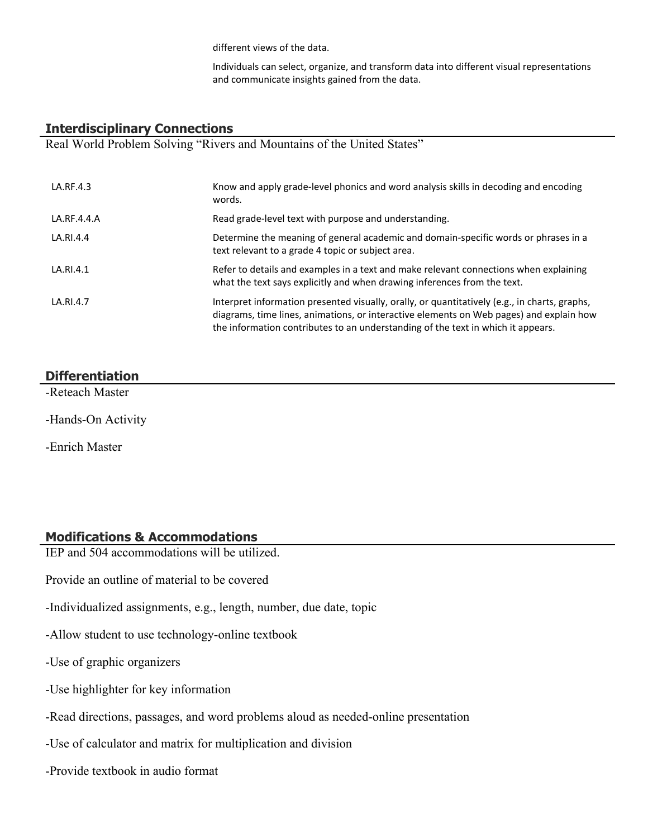different views of the data.

Individuals can select, organize, and transform data into different visual representations and communicate insights gained from the data.

#### **Interdisciplinary Connections**

Real World Problem Solving "Rivers and Mountains of the United States"

| LA.RF.4.3   | Know and apply grade-level phonics and word analysis skills in decoding and encoding<br>words.                                                                                                                                                                               |
|-------------|------------------------------------------------------------------------------------------------------------------------------------------------------------------------------------------------------------------------------------------------------------------------------|
| LA.RF.4.4.A | Read grade-level text with purpose and understanding.                                                                                                                                                                                                                        |
| LA.RI.4.4   | Determine the meaning of general academic and domain-specific words or phrases in a<br>text relevant to a grade 4 topic or subject area.                                                                                                                                     |
| LA.RI.4.1   | Refer to details and examples in a text and make relevant connections when explaining<br>what the text says explicitly and when drawing inferences from the text.                                                                                                            |
| LA.RI.4.7   | Interpret information presented visually, orally, or quantitatively (e.g., in charts, graphs,<br>diagrams, time lines, animations, or interactive elements on Web pages) and explain how<br>the information contributes to an understanding of the text in which it appears. |

#### **Differentiation**

-Reteach Master

-Hands-On Activity

-Enrich Master

#### **Modifications & Accommodations**

IEP and 504 accommodations will be utilized.

Provide an outline of material to be covered

-Individualized assignments, e.g., length, number, due date, topic

-Allow student to use technology-online textbook

-Use of graphic organizers

- -Use highlighter for key information
- -Read directions, passages, and word problems aloud as needed-online presentation

-Use of calculator and matrix for multiplication and division

-Provide textbook in audio format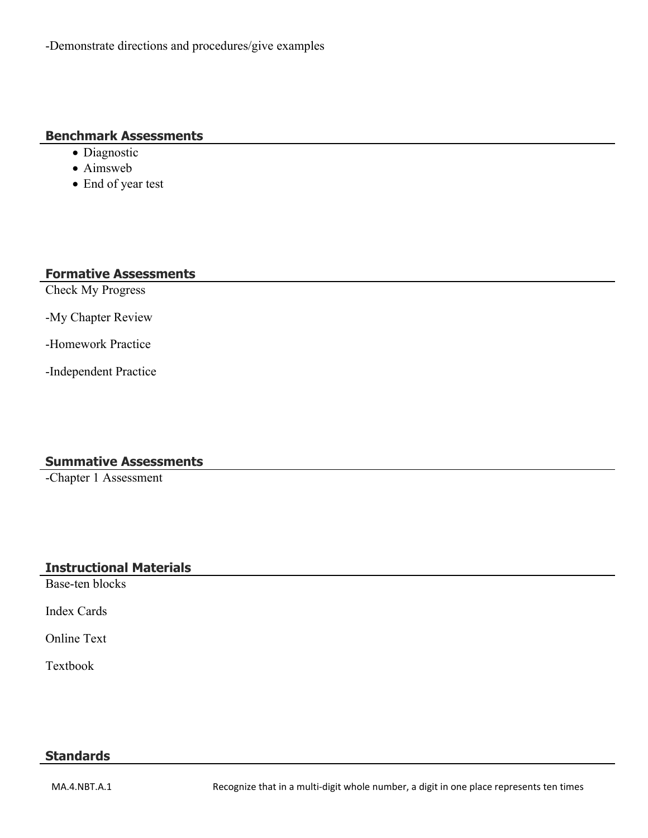-Demonstrate directions and procedures/give examples

#### **Benchmark Assessments**

- Diagnostic
- Aimsweb
- End of year test

## **Formative Assessments**

Check My Progress

-My Chapter Review

-Homework Practice

-Independent Practice

## **Summative Assessments**

-Chapter 1 Assessment

## **Instructional Materials**

Base-ten blocks

Index Cards

Online Text

Textbook

#### **Standards**